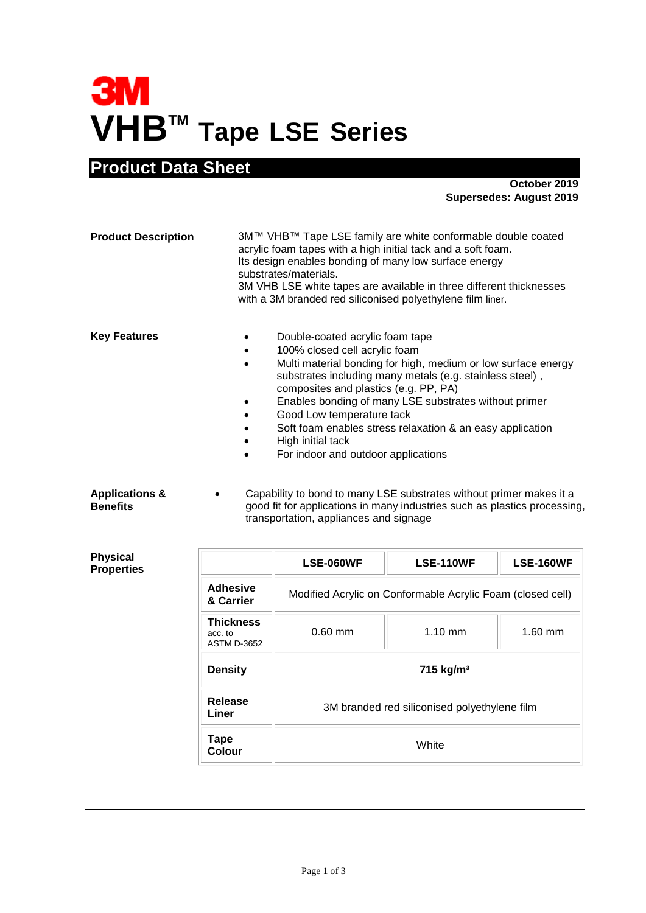# **3M VHBTM Tape LSE Series**

## **Product Data Sheet**

**October 2019 Supersedes: August 2019**

| <b>Product Description</b> | 3M™ VHB™ Tape LSE family are white conformable double coated<br>acrylic foam tapes with a high initial tack and a soft foam.<br>Its design enables bonding of many low surface energy<br>substrates/materials.<br>3M VHB LSE white tapes are available in three different thicknesses<br>with a 3M branded red siliconised polyethylene film liner.                                                                                                                                  |  |
|----------------------------|--------------------------------------------------------------------------------------------------------------------------------------------------------------------------------------------------------------------------------------------------------------------------------------------------------------------------------------------------------------------------------------------------------------------------------------------------------------------------------------|--|
| <b>Key Features</b>        | Double-coated acrylic foam tape<br>100% closed cell acrylic foam<br>Multi material bonding for high, medium or low surface energy<br>$\bullet$<br>substrates including many metals (e.g. stainless steel),<br>composites and plastics (e.g. PP, PA)<br>Enables bonding of many LSE substrates without primer<br>Good Low temperature tack<br>$\bullet$<br>Soft foam enables stress relaxation & an easy application<br>High initial tack<br>For indoor and outdoor applications<br>٠ |  |
| <b>Applications &amp;</b>  | Capability to bond to many LSE substrates without primer makes it a                                                                                                                                                                                                                                                                                                                                                                                                                  |  |

**Benefits** good fit for applications in many industries such as plastics processing, transportation, appliances and signage

| <b>Physical</b><br><b>Properties</b> |                                                   | <b>LSE-060WF</b>                                           | <b>LSE-110WF</b> | <b>LSE-160WF</b> |
|--------------------------------------|---------------------------------------------------|------------------------------------------------------------|------------------|------------------|
|                                      | <b>Adhesive</b><br>& Carrier                      | Modified Acrylic on Conformable Acrylic Foam (closed cell) |                  |                  |
|                                      | <b>Thickness</b><br>acc. to<br><b>ASTM D-3652</b> | $0.60$ mm                                                  | $1.10$ mm        | $1.60$ mm        |
|                                      | <b>Density</b>                                    | 715 kg/m <sup>3</sup>                                      |                  |                  |
|                                      | Release<br>Liner                                  | 3M branded red siliconised polyethylene film               |                  |                  |
|                                      | Tape<br><b>Colour</b>                             |                                                            | White            |                  |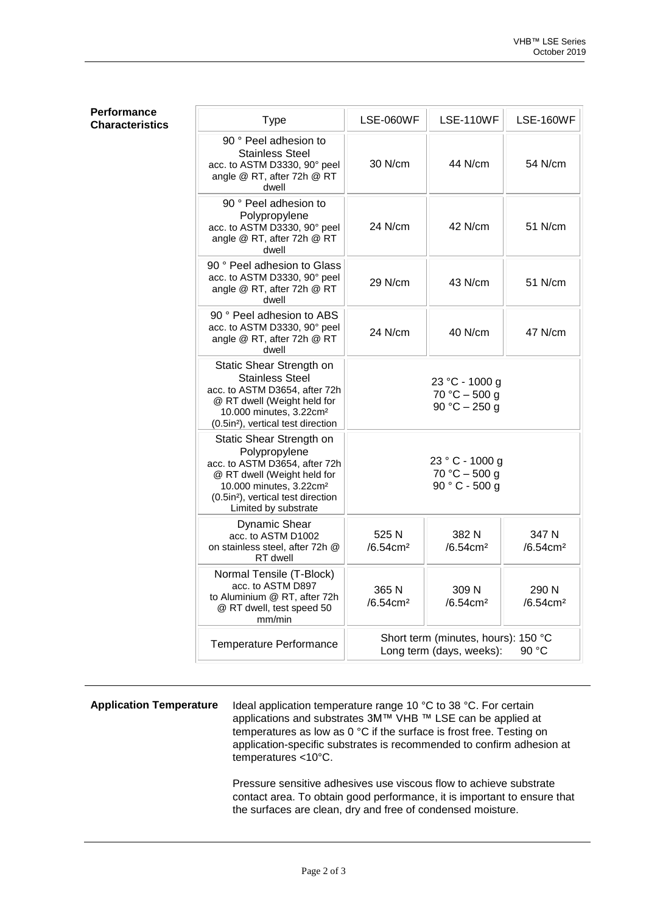### **Performance Characteristics**

| <b>Type</b>                                                                                                                                                                                                                | <b>LSE-060WF</b>                                                         | <b>LSE-110WF</b>                                     | <b>LSE-160WF</b>              |
|----------------------------------------------------------------------------------------------------------------------------------------------------------------------------------------------------------------------------|--------------------------------------------------------------------------|------------------------------------------------------|-------------------------------|
| 90 ° Peel adhesion to<br><b>Stainless Steel</b><br>acc. to ASTM D3330, 90° peel<br>angle @ RT, after 72h @ RT<br>dwell                                                                                                     | 30 N/cm                                                                  | 44 N/cm                                              | 54 N/cm                       |
| 90 ° Peel adhesion to<br>Polypropylene<br>acc. to ASTM D3330, 90° peel<br>angle @ RT, after 72h @ RT<br>dwell                                                                                                              | 24 N/cm                                                                  | 42 N/cm                                              | 51 N/cm                       |
| 90 ° Peel adhesion to Glass<br>acc. to ASTM D3330, 90° peel<br>angle @ RT, after 72h @ RT<br>dwell                                                                                                                         | 29 N/cm                                                                  | 43 N/cm                                              | 51 N/cm                       |
| 90 ° Peel adhesion to ABS<br>acc. to ASTM D3330, 90° peel<br>angle @ RT, after 72h @ RT<br>dwell                                                                                                                           | 24 N/cm                                                                  | 40 N/cm                                              | 47 N/cm                       |
| Static Shear Strength on<br><b>Stainless Steel</b><br>acc. to ASTM D3654, after 72h<br>@ RT dwell (Weight held for<br>10.000 minutes, 3.22cm <sup>2</sup><br>(0.5in <sup>2</sup> ), vertical test direction                |                                                                          | 23 °C - 1000 g<br>$70 °C - 500 g$<br>90 °C $-$ 250 g |                               |
| Static Shear Strength on<br>Polypropylene<br>acc. to ASTM D3654, after 72h<br>@ RT dwell (Weight held for<br>10.000 minutes, 3.22cm <sup>2</sup><br>(0.5in <sup>2</sup> ), vertical test direction<br>Limited by substrate | 23 ° C - 1000 g<br>$70 °C - 500 g$<br>$90 ° C - 500 g$                   |                                                      |                               |
| <b>Dynamic Shear</b><br>acc. to ASTM D1002<br>on stainless steel, after 72h @<br>RT dwell                                                                                                                                  | 525 N<br>/6.54cm <sup>2</sup>                                            | 382 N<br>/6.54cm <sup>2</sup>                        | 347 N<br>/6.54cm <sup>2</sup> |
| Normal Tensile (T-Block)<br>acc. to ASTM D897<br>to Aluminium @ RT, after 72h<br>@ RT dwell, test speed 50<br>mm/min                                                                                                       | 365 N<br>/6.54cm <sup>2</sup>                                            | 309 N<br>/6.54cm <sup>2</sup>                        | 290 N<br>/6.54cm <sup>2</sup> |
| Temperature Performance                                                                                                                                                                                                    | Short term (minutes, hours): 150 °C<br>90 °C<br>Long term (days, weeks): |                                                      |                               |

Application Temperature Ideal application temperature range 10 °C to 38 °C. For certain applications and substrates 3M™ VHB ™ LSE can be applied at temperatures as low as 0 °C if the surface is frost free. Testing on application-specific substrates is recommended to confirm adhesion at temperatures <10°C.

> Pressure sensitive adhesives use viscous flow to achieve substrate contact area. To obtain good performance, it is important to ensure that the surfaces are clean, dry and free of condensed moisture.